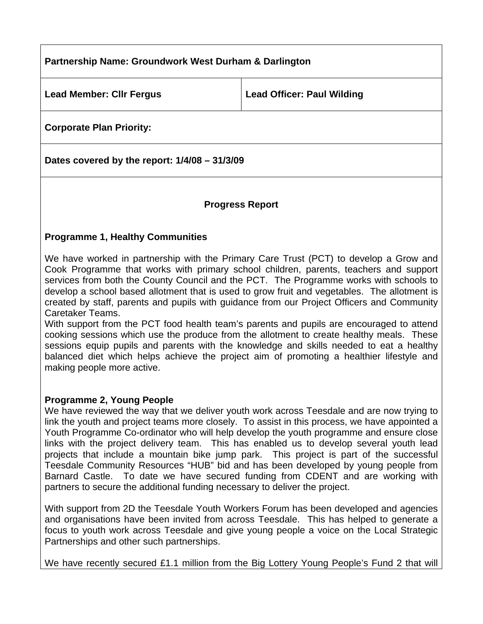# **Partnership Name: Groundwork West Durham & Darlington**  Lead Member: Clir Fergus **Lead Officer: Paul Wilding**

**Corporate Plan Priority:** 

**Dates covered by the report: 1/4/08 – 31/3/09** 

## **Progress Report**

## **Programme 1, Healthy Communities**

We have worked in partnership with the Primary Care Trust (PCT) to develop a Grow and Cook Programme that works with primary school children, parents, teachers and support services from both the County Council and the PCT. The Programme works with schools to develop a school based allotment that is used to grow fruit and vegetables. The allotment is created by staff, parents and pupils with guidance from our Project Officers and Community Caretaker Teams.

With support from the PCT food health team's parents and pupils are encouraged to attend cooking sessions which use the produce from the allotment to create healthy meals. These sessions equip pupils and parents with the knowledge and skills needed to eat a healthy balanced diet which helps achieve the project aim of promoting a healthier lifestyle and making people more active.

#### **Programme 2, Young People**

We have reviewed the way that we deliver youth work across Teesdale and are now trying to link the youth and project teams more closely. To assist in this process, we have appointed a Youth Programme Co-ordinator who will help develop the youth programme and ensure close links with the project delivery team. This has enabled us to develop several youth lead projects that include a mountain bike jump park. This project is part of the successful Teesdale Community Resources "HUB" bid and has been developed by young people from Barnard Castle. To date we have secured funding from CDENT and are working with partners to secure the additional funding necessary to deliver the project.

With support from 2D the Teesdale Youth Workers Forum has been developed and agencies and organisations have been invited from across Teesdale. This has helped to generate a focus to youth work across Teesdale and give young people a voice on the Local Strategic Partnerships and other such partnerships.

We have recently secured £1.1 million from the Big Lottery Young People's Fund 2 that will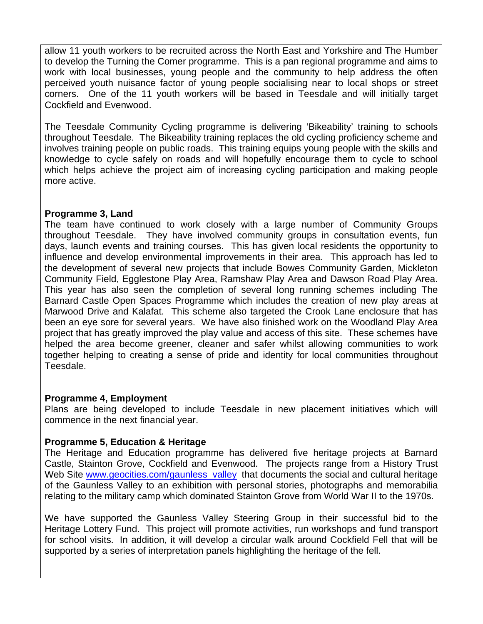allow 11 youth workers to be recruited across the North East and Yorkshire and The Humber to develop the Turning the Comer programme. This is a pan regional programme and aims to work with local businesses, young people and the community to help address the often perceived youth nuisance factor of young people socialising near to local shops or street corners. One of the 11 youth workers will be based in Teesdale and will initially target Cockfield and Evenwood.

The Teesdale Community Cycling programme is delivering 'Bikeability' training to schools throughout Teesdale. The Bikeability training replaces the old cycling proficiency scheme and involves training people on public roads. This training equips young people with the skills and knowledge to cycle safely on roads and will hopefully encourage them to cycle to school which helps achieve the project aim of increasing cycling participation and making people more active.

## **Programme 3, Land**

The team have continued to work closely with a large number of Community Groups throughout Teesdale. They have involved community groups in consultation events, fun days, launch events and training courses. This has given local residents the opportunity to influence and develop environmental improvements in their area. This approach has led to the development of several new projects that include Bowes Community Garden, Mickleton Community Field, Egglestone Play Area, Ramshaw Play Area and Dawson Road Play Area. This year has also seen the completion of several long running schemes including The Barnard Castle Open Spaces Programme which includes the creation of new play areas at Marwood Drive and Kalafat. This scheme also targeted the Crook Lane enclosure that has been an eye sore for several years. We have also finished work on the Woodland Play Area project that has greatly improved the play value and access of this site. These schemes have helped the area become greener, cleaner and safer whilst allowing communities to work together helping to creating a sense of pride and identity for local communities throughout Teesdale.

#### **Programme 4, Employment**

Plans are being developed to include Teesdale in new placement initiatives which will commence in the next financial year.

# **Programme 5, Education & Heritage**

The Heritage and Education programme has delivered five heritage projects at Barnard Castle, Stainton Grove, Cockfield and Evenwood. The projects range from a History Trust Web Site [www.geocities.com/gaunless\\_valley](http://www.geocities.com/gaunless_valley) that documents the social and cultural heritage of the Gaunless Valley to an exhibition with personal stories, photographs and memorabilia relating to the military camp which dominated Stainton Grove from World War II to the 1970s.

We have supported the Gaunless Valley Steering Group in their successful bid to the Heritage Lottery Fund. This project will promote activities, run workshops and fund transport for school visits. In addition, it will develop a circular walk around Cockfield Fell that will be supported by a series of interpretation panels highlighting the heritage of the fell.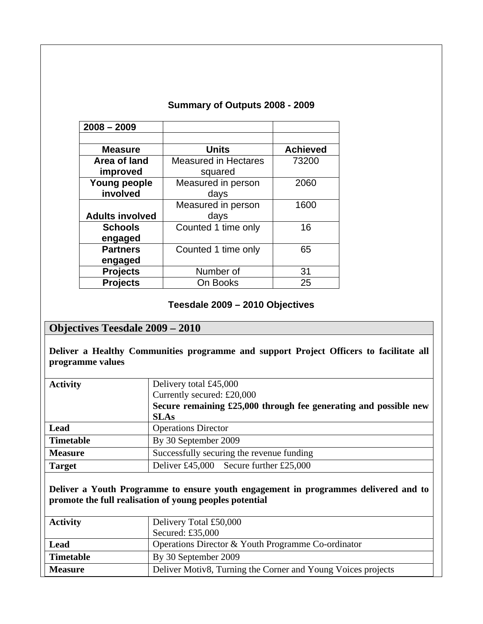| $2008 - 2009$                   |                                        |                 |
|---------------------------------|----------------------------------------|-----------------|
| <b>Measure</b>                  | <b>Units</b>                           | <b>Achieved</b> |
| Area of land<br>improved        | <b>Measured in Hectares</b><br>squared | 73200           |
| <b>Young people</b><br>involved | Measured in person<br>days             | 2060            |
| <b>Adults involved</b>          | Measured in person<br>days             | 1600            |
| <b>Schools</b><br>engaged       | Counted 1 time only                    | 16              |
| <b>Partners</b><br>engaged      | Counted 1 time only                    | 65              |
| <b>Projects</b>                 | Number of                              | 31              |
| <b>Projects</b>                 | On Books                               | 25              |

# **Summary of Outputs 2008 - 2009**

## **Teesdale 2009 – 2010 Objectives**

## **Objectives Teesdale 2009 – 2010**

**Deliver a Healthy Communities programme and support Project Officers to facilitate all programme values** 

| <b>Activity</b>  | Delivery total £45,000                                           |
|------------------|------------------------------------------------------------------|
|                  | Currently secured: $£20,000$                                     |
|                  | Secure remaining £25,000 through fee generating and possible new |
|                  | <b>SLAs</b>                                                      |
| Lead             | <b>Operations Director</b>                                       |
| <b>Timetable</b> | By 30 September 2009                                             |
| <b>Measure</b>   | Successfully securing the revenue funding                        |
| <b>Target</b>    | Deliver £45,000 Secure further £25,000                           |

**Deliver a Youth Programme to ensure youth engagement in programmes delivered and to promote the full realisation of young peoples potential** 

| <b>Activity</b>  | Delivery Total £50,000<br>Secured: $£35,000$                 |
|------------------|--------------------------------------------------------------|
| Lead             | Operations Director & Youth Programme Co-ordinator           |
| <b>Timetable</b> | By 30 September 2009                                         |
| <b>Measure</b>   | Deliver Motiv8, Turning the Corner and Young Voices projects |